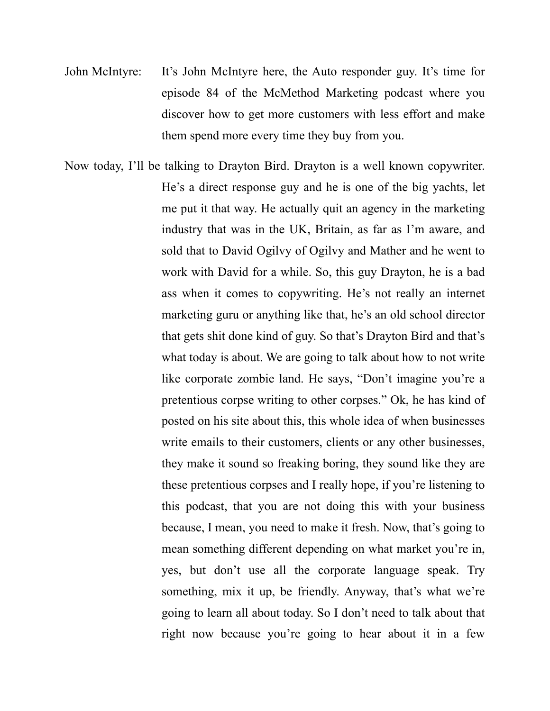- John McIntyre: It's John McIntyre here, the Auto responder guy. It's time for episode 84 of the McMethod Marketing podcast where you discover how to get more customers with less effort and make them spend more every time they buy from you.
- Now today, I'll be talking to Drayton Bird. Drayton is a well known copywriter. He's a direct response guy and he is one of the big yachts, let me put it that way. He actually quit an agency in the marketing industry that was in the UK, Britain, as far as I'm aware, and sold that to David Ogilvy of Ogilvy and Mather and he went to work with David for a while. So, this guy Drayton, he is a bad ass when it comes to copywriting. He's not really an internet marketing guru or anything like that, he's an old school director that gets shit done kind of guy. So that's Drayton Bird and that's what today is about. We are going to talk about how to not write like corporate zombie land. He says, "Don't imagine you're a pretentious corpse writing to other corpses." Ok, he has kind of posted on his site about this, this whole idea of when businesses write emails to their customers, clients or any other businesses, they make it sound so freaking boring, they sound like they are these pretentious corpses and I really hope, if you're listening to this podcast, that you are not doing this with your business because, I mean, you need to make it fresh. Now, that's going to mean something different depending on what market you're in, yes, but don't use all the corporate language speak. Try something, mix it up, be friendly. Anyway, that's what we're going to learn all about today. So I don't need to talk about that right now because you're going to hear about it in a few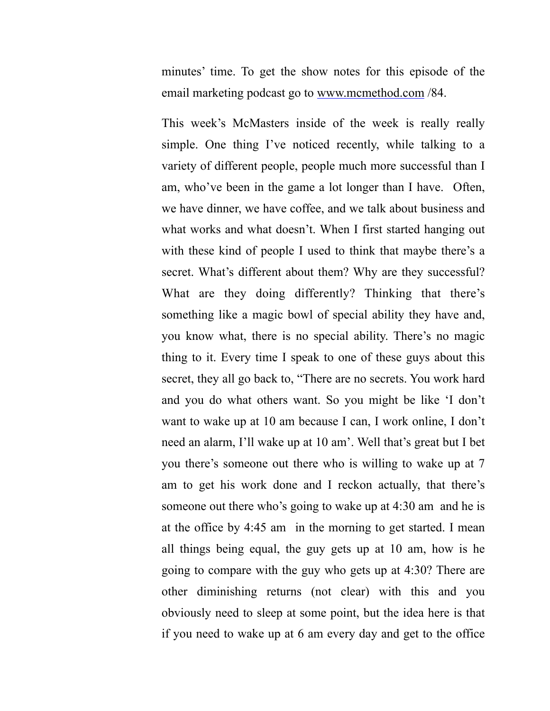minutes' time. To get the show notes for this episode of the email marketing podcast go to www.mcmethod.com /84.

This week's McMasters inside of the week is really really simple. One thing I've noticed recently, while talking to a variety of different people, people much more successful than I am, who've been in the game a lot longer than I have. Often, we have dinner, we have coffee, and we talk about business and what works and what doesn't. When I first started hanging out with these kind of people I used to think that maybe there's a secret. What's different about them? Why are they successful? What are they doing differently? Thinking that there's something like a magic bowl of special ability they have and, you know what, there is no special ability. There's no magic thing to it. Every time I speak to one of these guys about this secret, they all go back to, "There are no secrets. You work hard and you do what others want. So you might be like 'I don't want to wake up at 10 am because I can, I work online, I don't need an alarm, I'll wake up at 10 am'. Well that's great but I bet you there's someone out there who is willing to wake up at 7 am to get his work done and I reckon actually, that there's someone out there who's going to wake up at 4:30 am and he is at the office by 4:45 am in the morning to get started. I mean all things being equal, the guy gets up at 10 am, how is he going to compare with the guy who gets up at 4:30? There are other diminishing returns (not clear) with this and you obviously need to sleep at some point, but the idea here is that if you need to wake up at 6 am every day and get to the office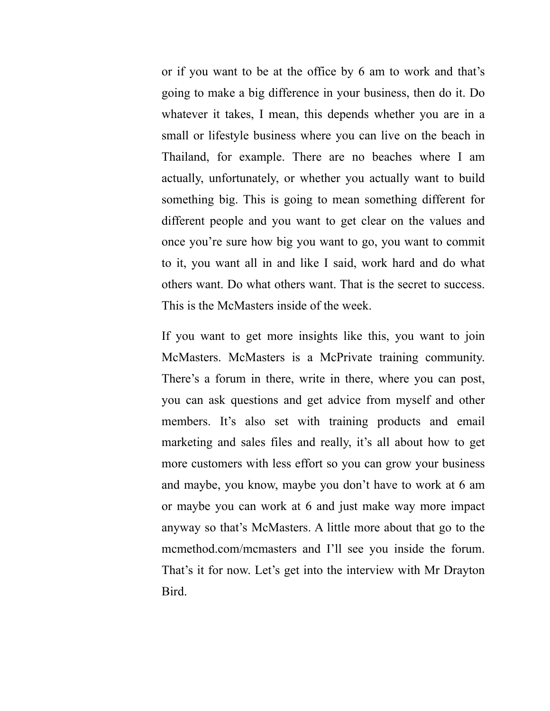or if you want to be at the office by 6 am to work and that's going to make a big difference in your business, then do it. Do whatever it takes, I mean, this depends whether you are in a small or lifestyle business where you can live on the beach in Thailand, for example. There are no beaches where I am actually, unfortunately, or whether you actually want to build something big. This is going to mean something different for different people and you want to get clear on the values and once you're sure how big you want to go, you want to commit to it, you want all in and like I said, work hard and do what others want. Do what others want. That is the secret to success. This is the McMasters inside of the week.

If you want to get more insights like this, you want to join McMasters. McMasters is a McPrivate training community. There's a forum in there, write in there, where you can post, you can ask questions and get advice from myself and other members. It's also set with training products and email marketing and sales files and really, it's all about how to get more customers with less effort so you can grow your business and maybe, you know, maybe you don't have to work at 6 am or maybe you can work at 6 and just make way more impact anyway so that's McMasters. A little more about that go to the mcmethod.com/mcmasters and I'll see you inside the forum. That's it for now. Let's get into the interview with Mr Drayton Bird.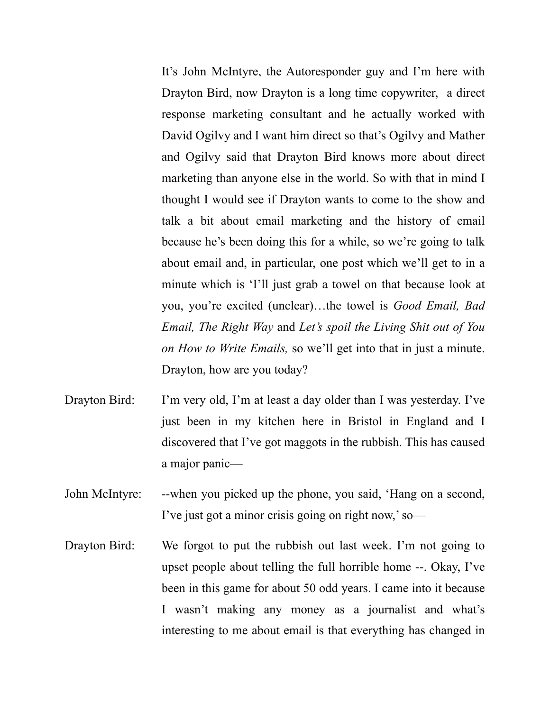It's John McIntyre, the Autoresponder guy and I'm here with Drayton Bird, now Drayton is a long time copywriter, a direct response marketing consultant and he actually worked with David Ogilvy and I want him direct so that's Ogilvy and Mather and Ogilvy said that Drayton Bird knows more about direct marketing than anyone else in the world. So with that in mind I thought I would see if Drayton wants to come to the show and talk a bit about email marketing and the history of email because he's been doing this for a while, so we're going to talk about email and, in particular, one post which we'll get to in a minute which is 'I'll just grab a towel on that because look at you, you're excited (unclear)…the towel is *Good Email, Bad Email, The Right Way* and *Let's spoil the Living Shit out of You on How to Write Emails,* so we'll get into that in just a minute. Drayton, how are you today?

- Drayton Bird: I'm very old, I'm at least a day older than I was yesterday. I've just been in my kitchen here in Bristol in England and I discovered that I've got maggots in the rubbish. This has caused a major panic—
- John McIntyre: --when you picked up the phone, you said, 'Hang on a second, I've just got a minor crisis going on right now,' so—
- Drayton Bird: We forgot to put the rubbish out last week. I'm not going to upset people about telling the full horrible home --. Okay, I've been in this game for about 50 odd years. I came into it because I wasn't making any money as a journalist and what's interesting to me about email is that everything has changed in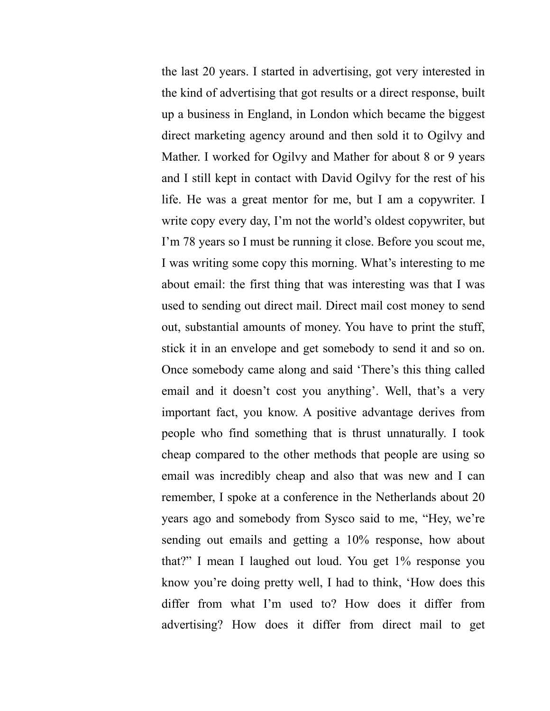the last 20 years. I started in advertising, got very interested in the kind of advertising that got results or a direct response, built up a business in England, in London which became the biggest direct marketing agency around and then sold it to Ogilvy and Mather. I worked for Ogilvy and Mather for about 8 or 9 years and I still kept in contact with David Ogilvy for the rest of his life. He was a great mentor for me, but I am a copywriter. I write copy every day, I'm not the world's oldest copywriter, but I'm 78 years so I must be running it close. Before you scout me, I was writing some copy this morning. What's interesting to me about email: the first thing that was interesting was that I was used to sending out direct mail. Direct mail cost money to send out, substantial amounts of money. You have to print the stuff, stick it in an envelope and get somebody to send it and so on. Once somebody came along and said 'There's this thing called email and it doesn't cost you anything'. Well, that's a very important fact, you know. A positive advantage derives from people who find something that is thrust unnaturally. I took cheap compared to the other methods that people are using so email was incredibly cheap and also that was new and I can remember, I spoke at a conference in the Netherlands about 20 years ago and somebody from Sysco said to me, "Hey, we're sending out emails and getting a 10% response, how about that?" I mean I laughed out loud. You get 1% response you know you're doing pretty well, I had to think, 'How does this differ from what I'm used to? How does it differ from advertising? How does it differ from direct mail to get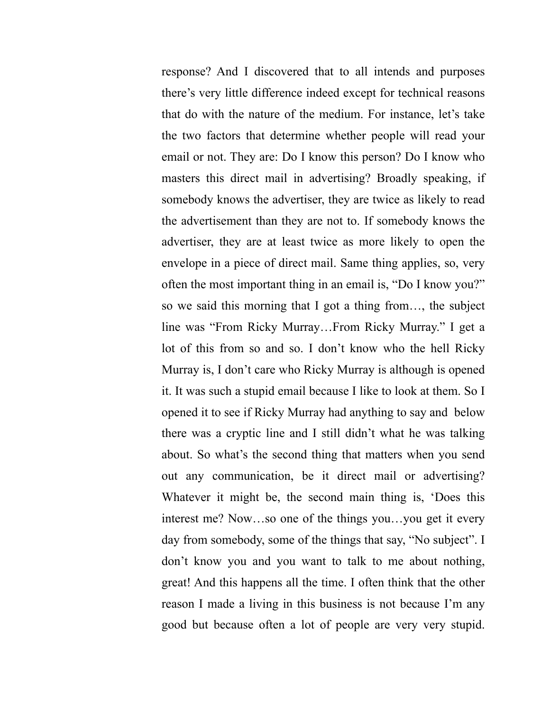response? And I discovered that to all intends and purposes there's very little difference indeed except for technical reasons that do with the nature of the medium. For instance, let's take the two factors that determine whether people will read your email or not. They are: Do I know this person? Do I know who masters this direct mail in advertising? Broadly speaking, if somebody knows the advertiser, they are twice as likely to read the advertisement than they are not to. If somebody knows the advertiser, they are at least twice as more likely to open the envelope in a piece of direct mail. Same thing applies, so, very often the most important thing in an email is, "Do I know you?" so we said this morning that I got a thing from…, the subject line was "From Ricky Murray…From Ricky Murray." I get a lot of this from so and so. I don't know who the hell Ricky Murray is, I don't care who Ricky Murray is although is opened it. It was such a stupid email because I like to look at them. So I opened it to see if Ricky Murray had anything to say and below there was a cryptic line and I still didn't what he was talking about. So what's the second thing that matters when you send out any communication, be it direct mail or advertising? Whatever it might be, the second main thing is, 'Does this interest me? Now…so one of the things you…you get it every day from somebody, some of the things that say, "No subject". I don't know you and you want to talk to me about nothing, great! And this happens all the time. I often think that the other reason I made a living in this business is not because I'm any good but because often a lot of people are very very stupid.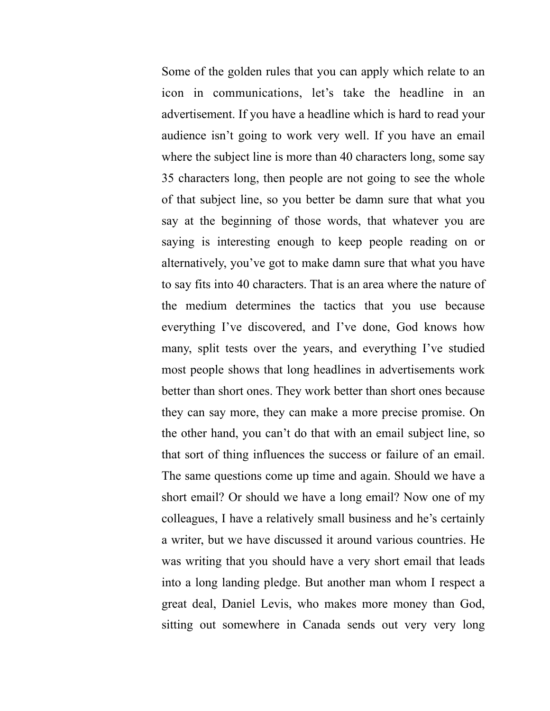Some of the golden rules that you can apply which relate to an icon in communications, let's take the headline in an advertisement. If you have a headline which is hard to read your audience isn't going to work very well. If you have an email where the subject line is more than 40 characters long, some say 35 characters long, then people are not going to see the whole of that subject line, so you better be damn sure that what you say at the beginning of those words, that whatever you are saying is interesting enough to keep people reading on or alternatively, you've got to make damn sure that what you have to say fits into 40 characters. That is an area where the nature of the medium determines the tactics that you use because everything I've discovered, and I've done, God knows how many, split tests over the years, and everything I've studied most people shows that long headlines in advertisements work better than short ones. They work better than short ones because they can say more, they can make a more precise promise. On the other hand, you can't do that with an email subject line, so that sort of thing influences the success or failure of an email. The same questions come up time and again. Should we have a short email? Or should we have a long email? Now one of my colleagues, I have a relatively small business and he's certainly a writer, but we have discussed it around various countries. He was writing that you should have a very short email that leads into a long landing pledge. But another man whom I respect a great deal, Daniel Levis, who makes more money than God, sitting out somewhere in Canada sends out very very long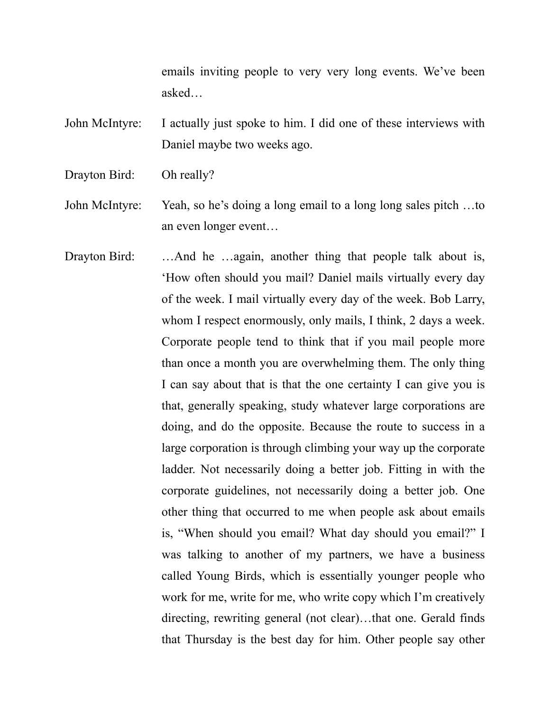emails inviting people to very very long events. We've been asked…

- John McIntyre: I actually just spoke to him. I did one of these interviews with Daniel maybe two weeks ago.
- Drayton Bird: Oh really?
- John McIntyre: Yeah, so he's doing a long email to a long long sales pitch …to an even longer event…
- Drayton Bird: …And he …again, another thing that people talk about is, 'How often should you mail? Daniel mails virtually every day of the week. I mail virtually every day of the week. Bob Larry, whom I respect enormously, only mails, I think, 2 days a week. Corporate people tend to think that if you mail people more than once a month you are overwhelming them. The only thing I can say about that is that the one certainty I can give you is that, generally speaking, study whatever large corporations are doing, and do the opposite. Because the route to success in a large corporation is through climbing your way up the corporate ladder. Not necessarily doing a better job. Fitting in with the corporate guidelines, not necessarily doing a better job. One other thing that occurred to me when people ask about emails is, "When should you email? What day should you email?" I was talking to another of my partners, we have a business called Young Birds, which is essentially younger people who work for me, write for me, who write copy which I'm creatively directing, rewriting general (not clear)…that one. Gerald finds that Thursday is the best day for him. Other people say other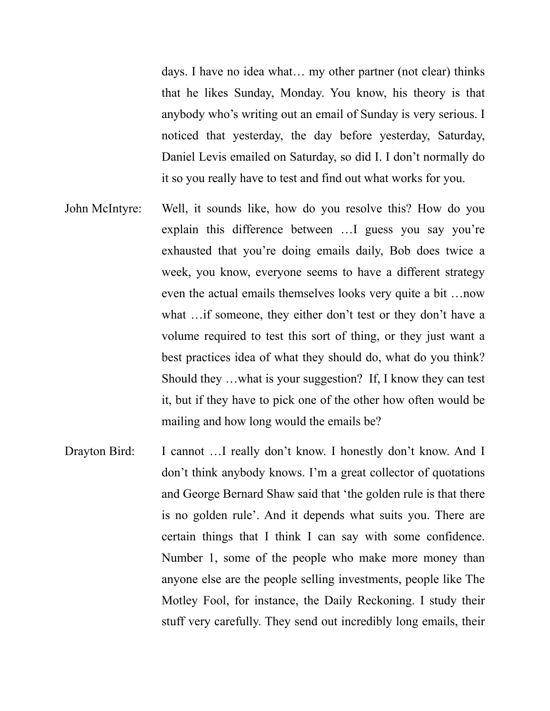days. I have no idea what… my other partner (not clear) thinks that he likes Sunday, Monday. You know, his theory is that anybody who's writing out an email of Sunday is very serious. I noticed that yesterday, the day before yesterday, Saturday, Daniel Levis emailed on Saturday, so did I. I don't normally do it so you really have to test and find out what works for you.

- John McIntyre: Well, it sounds like, how do you resolve this? How do you explain this difference between …I guess you say you're exhausted that you're doing emails daily, Bob does twice a week, you know, everyone seems to have a different strategy even the actual emails themselves looks very quite a bit …now what …if someone, they either don't test or they don't have a volume required to test this sort of thing, or they just want a best practices idea of what they should do, what do you think? Should they …what is your suggestion? If, I know they can test it, but if they have to pick one of the other how often would be mailing and how long would the emails be?
- Drayton Bird: I cannot ... I really don't know. I honestly don't know. And I don't think anybody knows. I'm a great collector of quotations and George Bernard Shaw said that 'the golden rule is that there is no golden rule'. And it depends what suits you. There are certain things that I think I can say with some confidence. Number 1, some of the people who make more money than anyone else are the people selling investments, people like The Motley Fool, for instance, the Daily Reckoning. I study their stuff very carefully. They send out incredibly long emails, their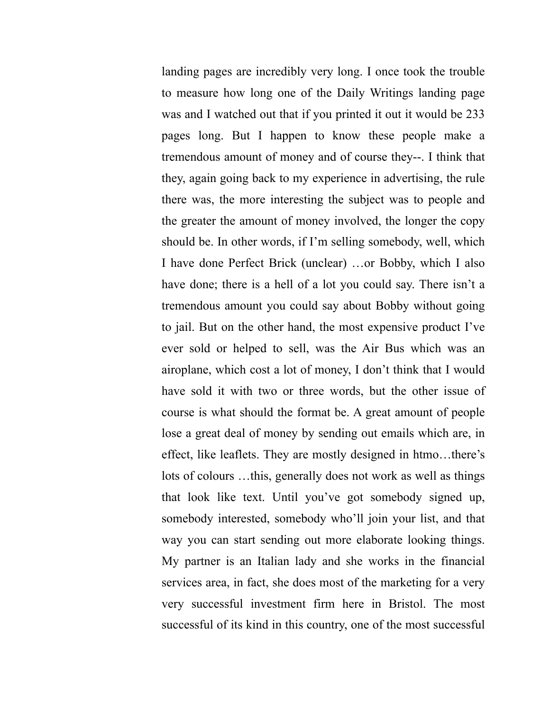landing pages are incredibly very long. I once took the trouble to measure how long one of the Daily Writings landing page was and I watched out that if you printed it out it would be 233 pages long. But I happen to know these people make a tremendous amount of money and of course they--. I think that they, again going back to my experience in advertising, the rule there was, the more interesting the subject was to people and the greater the amount of money involved, the longer the copy should be. In other words, if I'm selling somebody, well, which I have done Perfect Brick (unclear) …or Bobby, which I also have done; there is a hell of a lot you could say. There isn't a tremendous amount you could say about Bobby without going to jail. But on the other hand, the most expensive product I've ever sold or helped to sell, was the Air Bus which was an airoplane, which cost a lot of money, I don't think that I would have sold it with two or three words, but the other issue of course is what should the format be. A great amount of people lose a great deal of money by sending out emails which are, in effect, like leaflets. They are mostly designed in htmo…there's lots of colours …this, generally does not work as well as things that look like text. Until you've got somebody signed up, somebody interested, somebody who'll join your list, and that way you can start sending out more elaborate looking things. My partner is an Italian lady and she works in the financial services area, in fact, she does most of the marketing for a very very successful investment firm here in Bristol. The most successful of its kind in this country, one of the most successful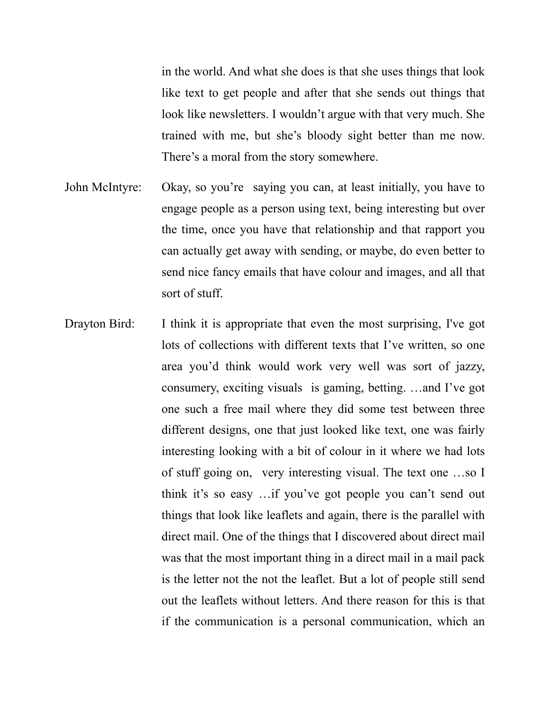in the world. And what she does is that she uses things that look like text to get people and after that she sends out things that look like newsletters. I wouldn't argue with that very much. She trained with me, but she's bloody sight better than me now. There's a moral from the story somewhere.

- John McIntyre: Okay, so you're saying you can, at least initially, you have to engage people as a person using text, being interesting but over the time, once you have that relationship and that rapport you can actually get away with sending, or maybe, do even better to send nice fancy emails that have colour and images, and all that sort of stuff.
- Drayton Bird: I think it is appropriate that even the most surprising, I've got lots of collections with different texts that I've written, so one area you'd think would work very well was sort of jazzy, consumery, exciting visuals is gaming, betting. …and I've got one such a free mail where they did some test between three different designs, one that just looked like text, one was fairly interesting looking with a bit of colour in it where we had lots of stuff going on, very interesting visual. The text one …so I think it's so easy …if you've got people you can't send out things that look like leaflets and again, there is the parallel with direct mail. One of the things that I discovered about direct mail was that the most important thing in a direct mail in a mail pack is the letter not the not the leaflet. But a lot of people still send out the leaflets without letters. And there reason for this is that if the communication is a personal communication, which an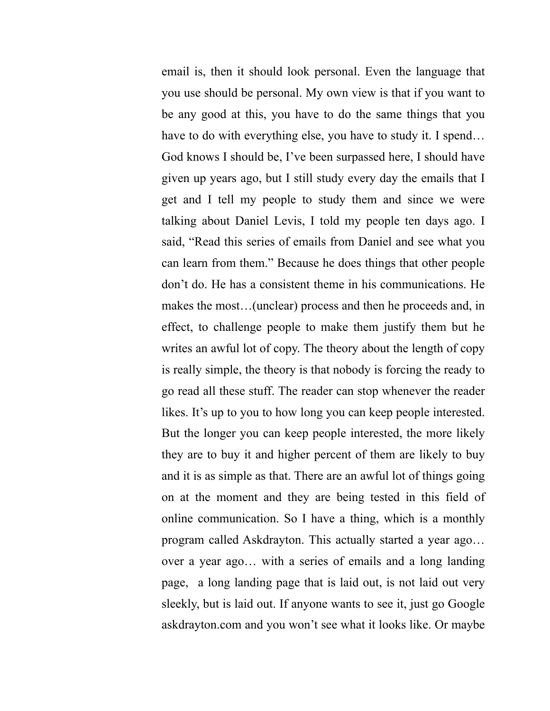email is, then it should look personal. Even the language that you use should be personal. My own view is that if you want to be any good at this, you have to do the same things that you have to do with everything else, you have to study it. I spend... God knows I should be, I've been surpassed here, I should have given up years ago, but I still study every day the emails that I get and I tell my people to study them and since we were talking about Daniel Levis, I told my people ten days ago. I said, "Read this series of emails from Daniel and see what you can learn from them." Because he does things that other people don't do. He has a consistent theme in his communications. He makes the most…(unclear) process and then he proceeds and, in effect, to challenge people to make them justify them but he writes an awful lot of copy. The theory about the length of copy is really simple, the theory is that nobody is forcing the ready to go read all these stuff. The reader can stop whenever the reader likes. It's up to you to how long you can keep people interested. But the longer you can keep people interested, the more likely they are to buy it and higher percent of them are likely to buy and it is as simple as that. There are an awful lot of things going on at the moment and they are being tested in this field of online communication. So I have a thing, which is a monthly program called Askdrayton. This actually started a year ago… over a year ago… with a series of emails and a long landing page, a long landing page that is laid out, is not laid out very sleekly, but is laid out. If anyone wants to see it, just go Google askdrayton.com and you won't see what it looks like. Or maybe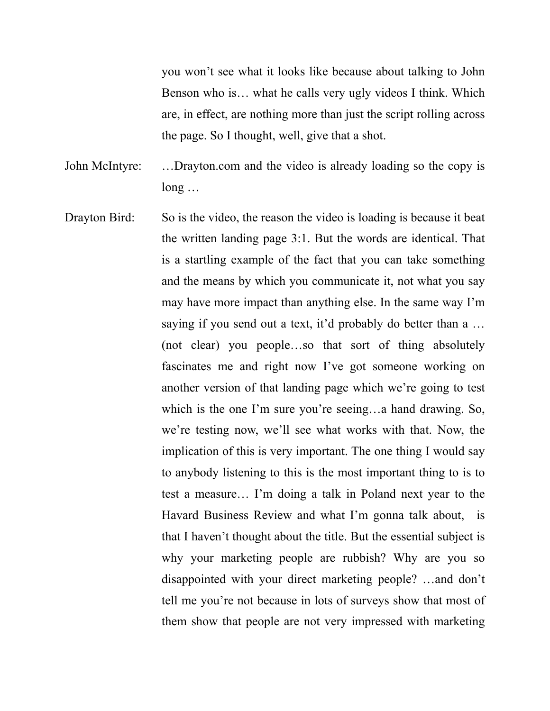you won't see what it looks like because about talking to John Benson who is… what he calls very ugly videos I think. Which are, in effect, are nothing more than just the script rolling across the page. So I thought, well, give that a shot.

John McIntyre: …Drayton.com and the video is already loading so the copy is long …

Drayton Bird: So is the video, the reason the video is loading is because it beat the written landing page 3:1. But the words are identical. That is a startling example of the fact that you can take something and the means by which you communicate it, not what you say may have more impact than anything else. In the same way I'm saying if you send out a text, it'd probably do better than a ... (not clear) you people…so that sort of thing absolutely fascinates me and right now I've got someone working on another version of that landing page which we're going to test which is the one I'm sure you're seeing…a hand drawing. So, we're testing now, we'll see what works with that. Now, the implication of this is very important. The one thing I would say to anybody listening to this is the most important thing to is to test a measure… I'm doing a talk in Poland next year to the Havard Business Review and what I'm gonna talk about, is that I haven't thought about the title. But the essential subject is why your marketing people are rubbish? Why are you so disappointed with your direct marketing people? …and don't tell me you're not because in lots of surveys show that most of them show that people are not very impressed with marketing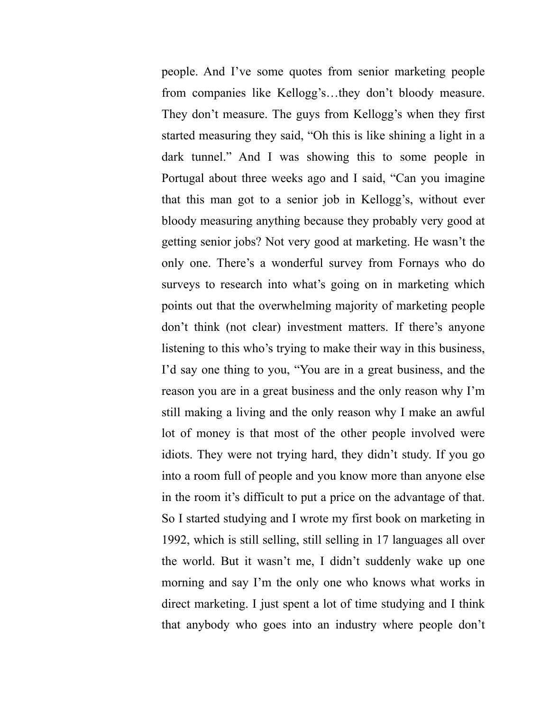people. And I've some quotes from senior marketing people from companies like Kellogg's…they don't bloody measure. They don't measure. The guys from Kellogg's when they first started measuring they said, "Oh this is like shining a light in a dark tunnel." And I was showing this to some people in Portugal about three weeks ago and I said, "Can you imagine that this man got to a senior job in Kellogg's, without ever bloody measuring anything because they probably very good at getting senior jobs? Not very good at marketing. He wasn't the only one. There's a wonderful survey from Fornays who do surveys to research into what's going on in marketing which points out that the overwhelming majority of marketing people don't think (not clear) investment matters. If there's anyone listening to this who's trying to make their way in this business, I'd say one thing to you, "You are in a great business, and the reason you are in a great business and the only reason why I'm still making a living and the only reason why I make an awful lot of money is that most of the other people involved were idiots. They were not trying hard, they didn't study. If you go into a room full of people and you know more than anyone else in the room it's difficult to put a price on the advantage of that. So I started studying and I wrote my first book on marketing in 1992, which is still selling, still selling in 17 languages all over the world. But it wasn't me, I didn't suddenly wake up one morning and say I'm the only one who knows what works in direct marketing. I just spent a lot of time studying and I think that anybody who goes into an industry where people don't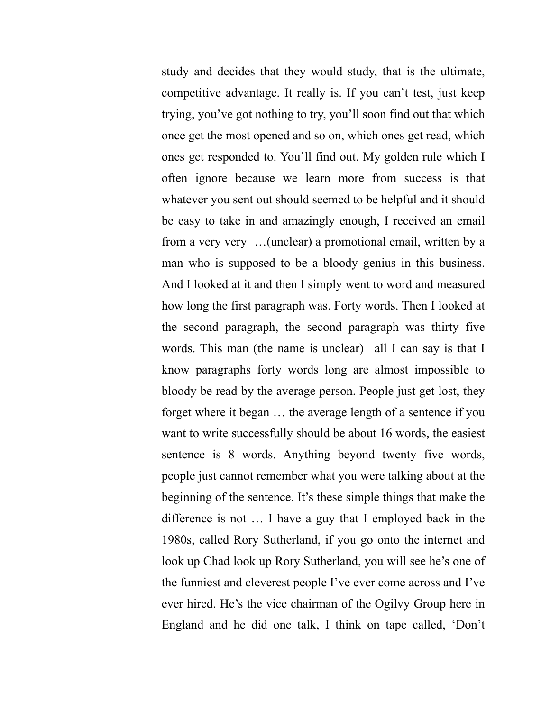study and decides that they would study, that is the ultimate, competitive advantage. It really is. If you can't test, just keep trying, you've got nothing to try, you'll soon find out that which once get the most opened and so on, which ones get read, which ones get responded to. You'll find out. My golden rule which I often ignore because we learn more from success is that whatever you sent out should seemed to be helpful and it should be easy to take in and amazingly enough, I received an email from a very very …(unclear) a promotional email, written by a man who is supposed to be a bloody genius in this business. And I looked at it and then I simply went to word and measured how long the first paragraph was. Forty words. Then I looked at the second paragraph, the second paragraph was thirty five words. This man (the name is unclear) all I can say is that I know paragraphs forty words long are almost impossible to bloody be read by the average person. People just get lost, they forget where it began … the average length of a sentence if you want to write successfully should be about 16 words, the easiest sentence is 8 words. Anything beyond twenty five words, people just cannot remember what you were talking about at the beginning of the sentence. It's these simple things that make the difference is not … I have a guy that I employed back in the 1980s, called Rory Sutherland, if you go onto the internet and look up Chad look up Rory Sutherland, you will see he's one of the funniest and cleverest people I've ever come across and I've ever hired. He's the vice chairman of the Ogilvy Group here in England and he did one talk, I think on tape called, 'Don't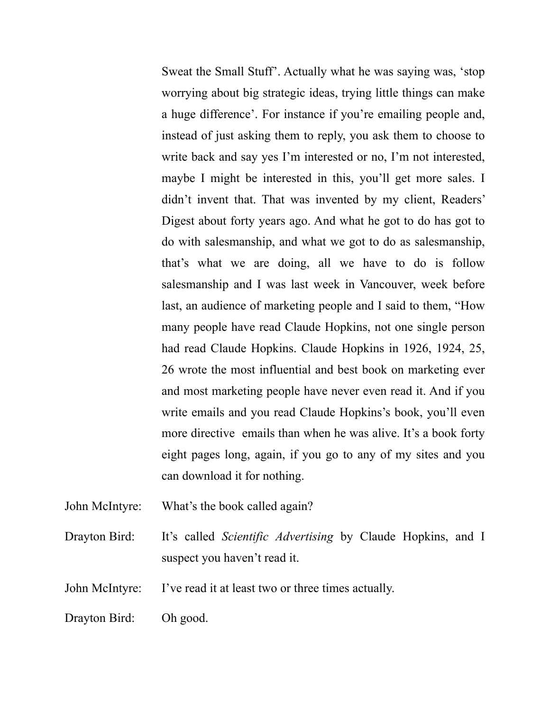Sweat the Small Stuff'. Actually what he was saying was, 'stop worrying about big strategic ideas, trying little things can make a huge difference'. For instance if you're emailing people and, instead of just asking them to reply, you ask them to choose to write back and say yes I'm interested or no, I'm not interested, maybe I might be interested in this, you'll get more sales. I didn't invent that. That was invented by my client, Readers' Digest about forty years ago. And what he got to do has got to do with salesmanship, and what we got to do as salesmanship, that's what we are doing, all we have to do is follow salesmanship and I was last week in Vancouver, week before last, an audience of marketing people and I said to them, "How many people have read Claude Hopkins, not one single person had read Claude Hopkins. Claude Hopkins in 1926, 1924, 25, 26 wrote the most influential and best book on marketing ever and most marketing people have never even read it. And if you write emails and you read Claude Hopkins's book, you'll even more directive emails than when he was alive. It's a book forty eight pages long, again, if you go to any of my sites and you can download it for nothing.

- John McIntyre: What's the book called again?
- Drayton Bird: It's called *Scientific Advertising* by Claude Hopkins, and I suspect you haven't read it.

John McIntyre: I've read it at least two or three times actually.

Drayton Bird: Oh good.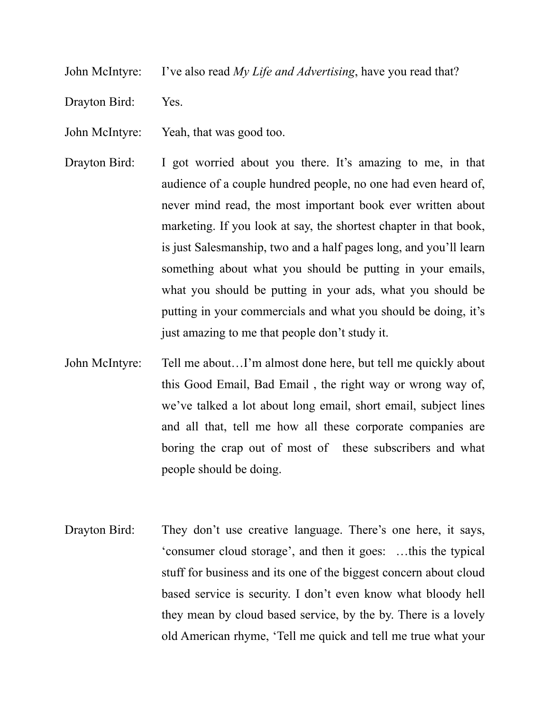John McIntyre: I've also read *My Life and Advertising*, have you read that?

Drayton Bird: Yes.

John McIntyre: Yeah, that was good too.

- Drayton Bird: I got worried about you there. It's amazing to me, in that audience of a couple hundred people, no one had even heard of, never mind read, the most important book ever written about marketing. If you look at say, the shortest chapter in that book, is just Salesmanship, two and a half pages long, and you'll learn something about what you should be putting in your emails, what you should be putting in your ads, what you should be putting in your commercials and what you should be doing, it's just amazing to me that people don't study it.
- John McIntyre: Tell me about…I'm almost done here, but tell me quickly about this Good Email, Bad Email , the right way or wrong way of, we've talked a lot about long email, short email, subject lines and all that, tell me how all these corporate companies are boring the crap out of most of these subscribers and what people should be doing.
- Drayton Bird: They don't use creative language. There's one here, it says, 'consumer cloud storage', and then it goes: …this the typical stuff for business and its one of the biggest concern about cloud based service is security. I don't even know what bloody hell they mean by cloud based service, by the by. There is a lovely old American rhyme, 'Tell me quick and tell me true what your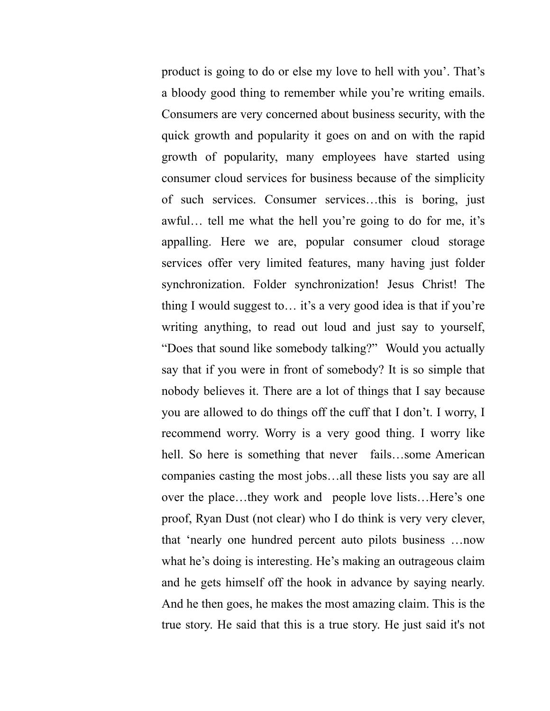product is going to do or else my love to hell with you'. That's a bloody good thing to remember while you're writing emails. Consumers are very concerned about business security, with the quick growth and popularity it goes on and on with the rapid growth of popularity, many employees have started using consumer cloud services for business because of the simplicity of such services. Consumer services…this is boring, just awful… tell me what the hell you're going to do for me, it's appalling. Here we are, popular consumer cloud storage services offer very limited features, many having just folder synchronization. Folder synchronization! Jesus Christ! The thing I would suggest to… it's a very good idea is that if you're writing anything, to read out loud and just say to yourself, "Does that sound like somebody talking?" Would you actually say that if you were in front of somebody? It is so simple that nobody believes it. There are a lot of things that I say because you are allowed to do things off the cuff that I don't. I worry, I recommend worry. Worry is a very good thing. I worry like hell. So here is something that never fails...some American companies casting the most jobs…all these lists you say are all over the place…they work and people love lists…Here's one proof, Ryan Dust (not clear) who I do think is very very clever, that 'nearly one hundred percent auto pilots business …now what he's doing is interesting. He's making an outrageous claim and he gets himself off the hook in advance by saying nearly. And he then goes, he makes the most amazing claim. This is the true story. He said that this is a true story. He just said it's not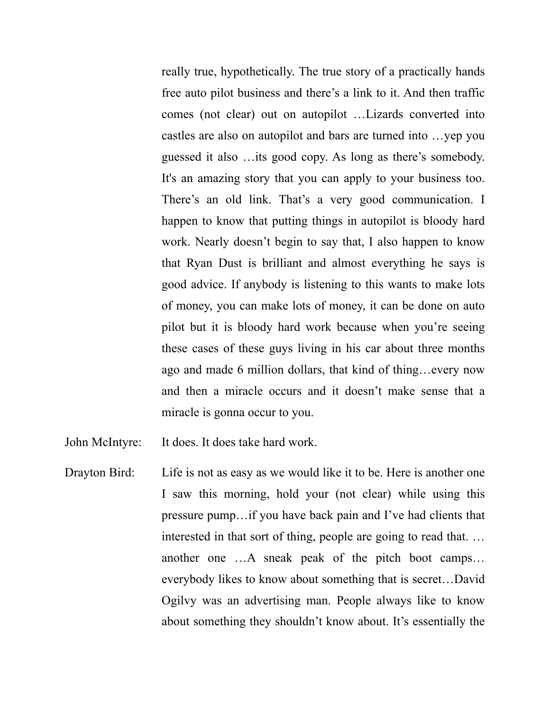really true, hypothetically. The true story of a practically hands free auto pilot business and there's a link to it. And then traffic comes (not clear) out on autopilot …Lizards converted into castles are also on autopilot and bars are turned into …yep you guessed it also …its good copy. As long as there's somebody. It's an amazing story that you can apply to your business too. There's an old link. That's a very good communication. I happen to know that putting things in autopilot is bloody hard work. Nearly doesn't begin to say that, I also happen to know that Ryan Dust is brilliant and almost everything he says is good advice. If anybody is listening to this wants to make lots of money, you can make lots of money, it can be done on auto pilot but it is bloody hard work because when you're seeing these cases of these guys living in his car about three months ago and made 6 million dollars, that kind of thing…every now and then a miracle occurs and it doesn't make sense that a miracle is gonna occur to you.

John McIntyre: It does. It does take hard work.

Drayton Bird: Life is not as easy as we would like it to be. Here is another one I saw this morning, hold your (not clear) while using this pressure pump…if you have back pain and I've had clients that interested in that sort of thing, people are going to read that. … another one …A sneak peak of the pitch boot camps… everybody likes to know about something that is secret…David Ogilvy was an advertising man. People always like to know about something they shouldn't know about. It's essentially the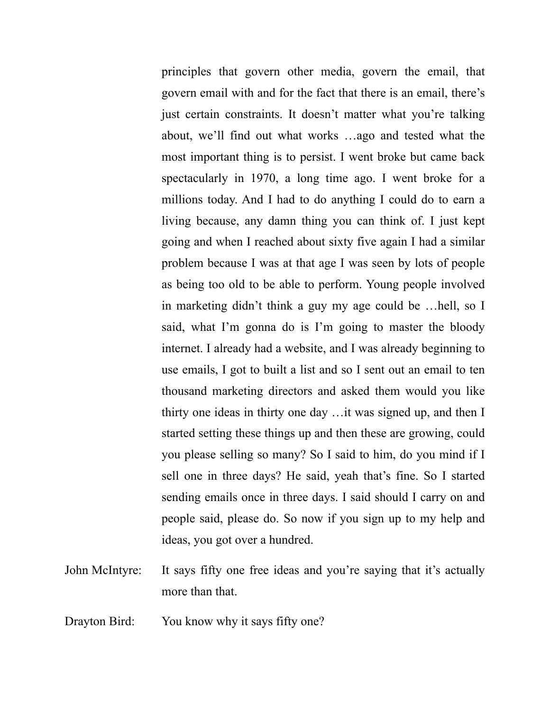principles that govern other media, govern the email, that govern email with and for the fact that there is an email, there's just certain constraints. It doesn't matter what you're talking about, we'll find out what works …ago and tested what the most important thing is to persist. I went broke but came back spectacularly in 1970, a long time ago. I went broke for a millions today. And I had to do anything I could do to earn a living because, any damn thing you can think of. I just kept going and when I reached about sixty five again I had a similar problem because I was at that age I was seen by lots of people as being too old to be able to perform. Young people involved in marketing didn't think a guy my age could be …hell, so I said, what I'm gonna do is I'm going to master the bloody internet. I already had a website, and I was already beginning to use emails, I got to built a list and so I sent out an email to ten thousand marketing directors and asked them would you like thirty one ideas in thirty one day …it was signed up, and then I started setting these things up and then these are growing, could you please selling so many? So I said to him, do you mind if I sell one in three days? He said, yeah that's fine. So I started sending emails once in three days. I said should I carry on and people said, please do. So now if you sign up to my help and ideas, you got over a hundred.

John McIntyre: It says fifty one free ideas and you're saying that it's actually more than that.

Drayton Bird: You know why it says fifty one?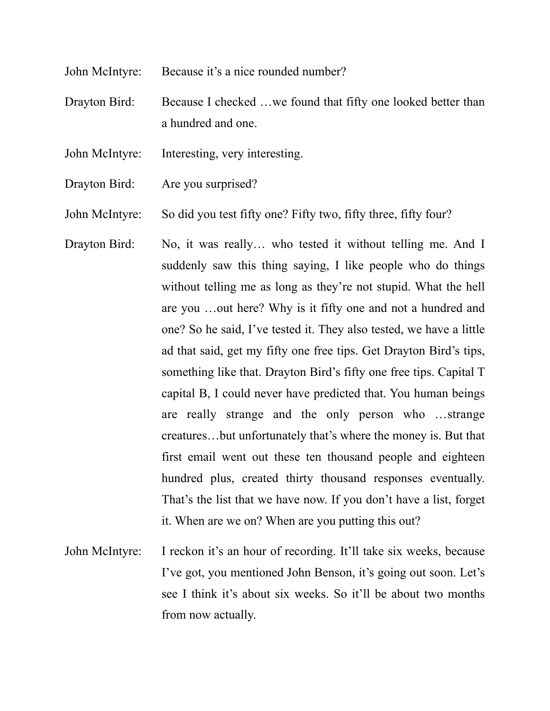John McIntyre: Because it's a nice rounded number?

Drayton Bird: Because I checked ... we found that fifty one looked better than a hundred and one.

- John McIntyre: Interesting, very interesting.
- Drayton Bird: Are you surprised?

John McIntyre: So did you test fifty one? Fifty two, fifty three, fifty four?

- Drayton Bird: No, it was really... who tested it without telling me. And I suddenly saw this thing saying, I like people who do things without telling me as long as they're not stupid. What the hell are you …out here? Why is it fifty one and not a hundred and one? So he said, I've tested it. They also tested, we have a little ad that said, get my fifty one free tips. Get Drayton Bird's tips, something like that. Drayton Bird's fifty one free tips. Capital T capital B, I could never have predicted that. You human beings are really strange and the only person who …strange creatures…but unfortunately that's where the money is. But that first email went out these ten thousand people and eighteen hundred plus, created thirty thousand responses eventually. That's the list that we have now. If you don't have a list, forget it. When are we on? When are you putting this out?
- John McIntyre: I reckon it's an hour of recording. It'll take six weeks, because I've got, you mentioned John Benson, it's going out soon. Let's see I think it's about six weeks. So it'll be about two months from now actually.